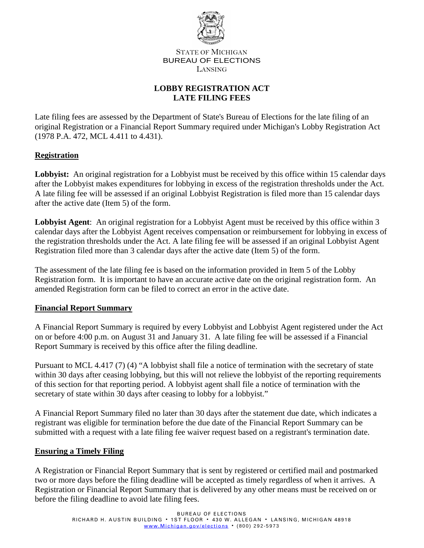

STATE OF MICHIGAN BUREAU OF ELECTIONS LANSING

# **LOBBY REGISTRATION ACT LATE FILING FEES**

Late filing fees are assessed by the Department of State's Bureau of Elections for the late filing of an original Registration or a Financial Report Summary required under Michigan's Lobby Registration Act (1978 P.A. 472, MCL 4.411 to 4.431).

#### **Registration**

Lobbyist: An original registration for a Lobbyist must be received by this office within 15 calendar days after the Lobbyist makes expenditures for lobbying in excess of the registration thresholds under the Act. A late filing fee will be assessed if an original Lobbyist Registration is filed more than 15 calendar days after the active date (Item 5) of the form.

**Lobbyist Agent**: An original registration for a Lobbyist Agent must be received by this office within 3 calendar days after the Lobbyist Agent receives compensation or reimbursement for lobbying in excess of the registration thresholds under the Act. A late filing fee will be assessed if an original Lobbyist Agent Registration filed more than 3 calendar days after the active date (Item 5) of the form.

The assessment of the late filing fee is based on the information provided in Item 5 of the Lobby Registration form. It is important to have an accurate active date on the original registration form. An amended Registration form can be filed to correct an error in the active date.

#### **Financial Report Summary**

A Financial Report Summary is required by every Lobbyist and Lobbyist Agent registered under the Act on or before 4:00 p.m. on August 31 and January 31. A late filing fee will be assessed if a Financial Report Summary is received by this office after the filing deadline.

Pursuant to MCL 4.417 (7) (4) "A lobbyist shall file a notice of termination with the secretary of state within 30 days after ceasing lobbying, but this will not relieve the lobbyist of the reporting requirements of this section for that reporting period. A lobbyist agent shall file a notice of termination with the secretary of state within 30 days after ceasing to lobby for a lobbyist."

A Financial Report Summary filed no later than 30 days after the statement due date, which indicates a registrant was eligible for termination before the due date of the Financial Report Summary can be submitted with a request with a late filing fee waiver request based on a registrant's termination date.

#### **Ensuring a Timely Filing**

A Registration or Financial Report Summary that is sent by registered or certified mail and postmarked two or more days before the filing deadline will be accepted as timely regardless of when it arrives. A Registration or Financial Report Summary that is delivered by any other means must be received on or before the filing deadline to avoid late filing fees.